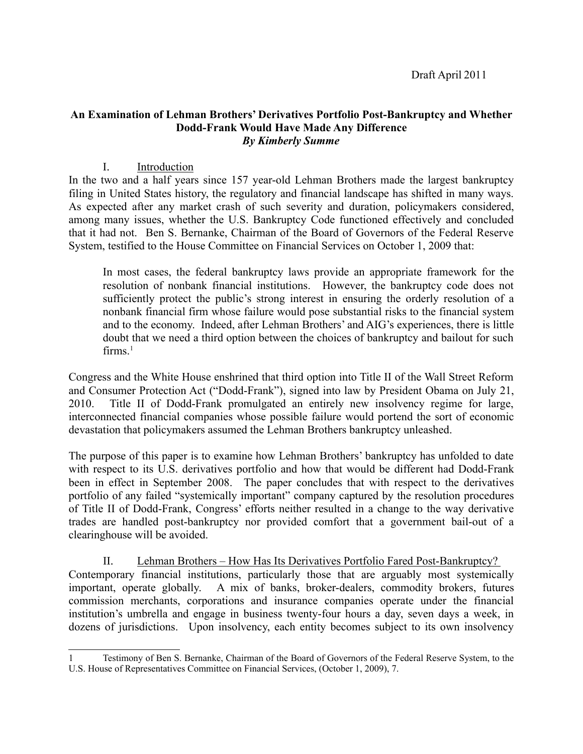Draft April 2011

### **An Examination of Lehman Brothers' Derivatives Portfolio Post-Bankruptcy and Whether Dodd-Frank Would Have Made Any Difference** *By Kimberly Summe*

## I. Introduction

In the two and a half years since 157 year-old Lehman Brothers made the largest bankruptcy filing in United States history, the regulatory and financial landscape has shifted in many ways. As expected after any market crash of such severity and duration, policymakers considered, among many issues, whether the U.S. Bankruptcy Code functioned effectively and concluded that it had not. Ben S. Bernanke, Chairman of the Board of Governors of the Federal Reserve System, testified to the House Committee on Financial Services on October 1, 2009 that:

In most cases, the federal bankruptcy laws provide an appropriate framework for the resolution of nonbank financial institutions. However, the bankruptcy code does not sufficiently protect the public's strong interest in ensuring the orderly resolution of a nonbank financial firm whose failure would pose substantial risks to the financial system and to the economy. Indeed, after Lehman Brothers' and AIG's experiences, there is little doubt that we need a third option between the choices of bankruptcy and bailout for such firms $<sup>1</sup>$ </sup>

Congress and the White House enshrined that third option into Title II of the Wall Street Reform and Consumer Protection Act ("Dodd-Frank"), signed into law by President Obama on July 21, 2010. Title II of Dodd-Frank promulgated an entirely new insolvency regime for large, interconnected financial companies whose possible failure would portend the sort of economic devastation that policymakers assumed the Lehman Brothers bankruptcy unleashed.

The purpose of this paper is to examine how Lehman Brothers' bankruptcy has unfolded to date with respect to its U.S. derivatives portfolio and how that would be different had Dodd-Frank been in effect in September 2008. The paper concludes that with respect to the derivatives portfolio of any failed "systemically important" company captured by the resolution procedures of Title II of Dodd-Frank, Congress' efforts neither resulted in a change to the way derivative trades are handled post-bankruptcy nor provided comfort that a government bail-out of a clearinghouse will be avoided.

II. Lehman Brothers – How Has Its Derivatives Portfolio Fared Post-Bankruptcy? Contemporary financial institutions, particularly those that are arguably most systemically important, operate globally. A mix of banks, broker-dealers, commodity brokers, futures commission merchants, corporations and insurance companies operate under the financial institution's umbrella and engage in business twenty-four hours a day, seven days a week, in dozens of jurisdictions. Upon insolvency, each entity becomes subject to its own insolvency

<sup>1</sup> Testimony of Ben S. Bernanke, Chairman of the Board of Governors of the Federal Reserve System, to the U.S. House of Representatives Committee on Financial Services, (October 1, 2009), 7.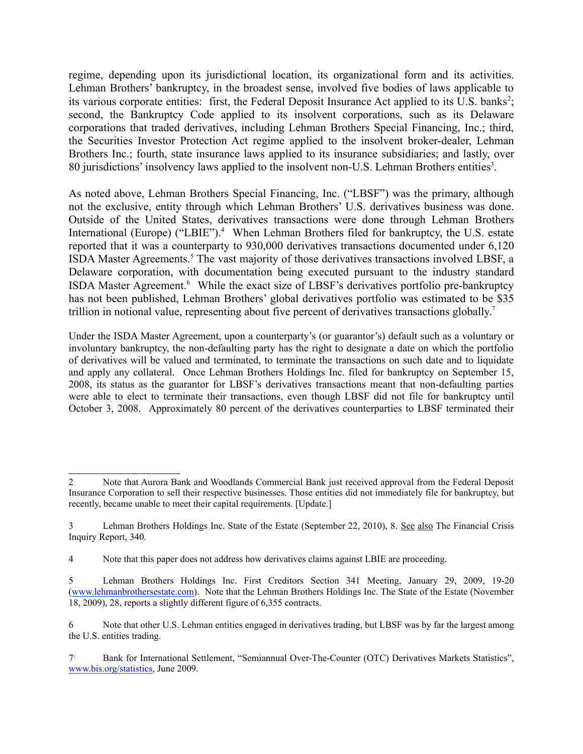regime, depending upon its jurisdictional location, its organizational form and its activities. Lehman Brothers' bankruptcy, in the broadest sense, involved five bodies of laws applicable to its various corporate entities: first, the Federal Deposit Insurance Act applied to its U.S. banks<sup>2</sup>; second, the Bankruptcy Code applied to its insolvent corporations, such as its Delaware corporations that traded derivatives, including Lehman Brothers Special Financing, Inc.; third, the Securities Investor Protection Act regime applied to the insolvent broker-dealer, Lehman Brothers Inc.; fourth, state insurance laws applied to its insurance subsidiaries; and lastly, over 80 jurisdictions' insolvency laws applied to the insolvent non-U.S. Lehman Brothers entities<sup>3</sup>.

As noted above, Lehman Brothers Special Financing, Inc. ("LBSF") was the primary, although not the exclusive, entity through which Lehman Brothers' U.S. derivatives business was done. Outside of the United States, derivatives transactions were done through Lehman Brothers International (Europe) ("LBIE").<sup>4</sup> When Lehman Brothers filed for bankruptcy, the U.S. estate reported that it was a counterparty to 930,000 derivatives transactions documented under 6,120 ISDA Master Agreements.<sup>5</sup> The vast majority of those derivatives transactions involved LBSF, a Delaware corporation, with documentation being executed pursuant to the industry standard ISDA Master Agreement.<sup>6</sup> While the exact size of LBSF's derivatives portfolio pre-bankruptcy has not been published, Lehman Brothers' global derivatives portfolio was estimated to be \$35 trillion in notional value, representing about five percent of derivatives transactions globally.<sup>7</sup>

Under the ISDA Master Agreement, upon a counterparty's (or guarantor's) default such as a voluntary or involuntary bankruptcy, the non-defaulting party has the right to designate a date on which the portfolio of derivatives will be valued and terminated, to terminate the transactions on such date and to liquidate and apply any collateral. Once Lehman Brothers Holdings Inc. filed for bankruptcy on September 15, 2008, its status as the guarantor for LBSF's derivatives transactions meant that non-defaulting parties were able to elect to terminate their transactions, even though LBSF did not file for bankruptcy until October 3, 2008. Approximately 80 percent of the derivatives counterparties to LBSF terminated their

<sup>2</sup> Note that Aurora Bank and Woodlands Commercial Bank just received approval from the Federal Deposit Insurance Corporation to sell their respective businesses. Those entities did not immediately file for bankruptcy, but recently, became unable to meet their capital requirements. [Update.]

<sup>3</sup> Lehman Brothers Holdings Inc. State of the Estate (September 22, 2010), 8. See also The Financial Crisis Inquiry Report, 340.

<sup>4</sup> Note that this paper does not address how derivatives claims against LBIE are proceeding.

<sup>5</sup> Lehman Brothers Holdings Inc. First Creditors Section 341 Meeting, January 29, 2009, 19-20 (www.lehmanbrothersestate.com). Note that the Lehman Brothers Holdings Inc. The State of the Estate (November 18, 2009), 28, reports a slightly different figure of 6,355 contracts.

<sup>6</sup> Note that other U.S. Lehman entities engaged in derivatives trading, but LBSF was by far the largest among the U.S. entities trading.

Bank for International Settlement, "Semiannual Over-The-Counter (OTC) Derivatives Markets Statistics", www.bis.org/statistics, June 2009.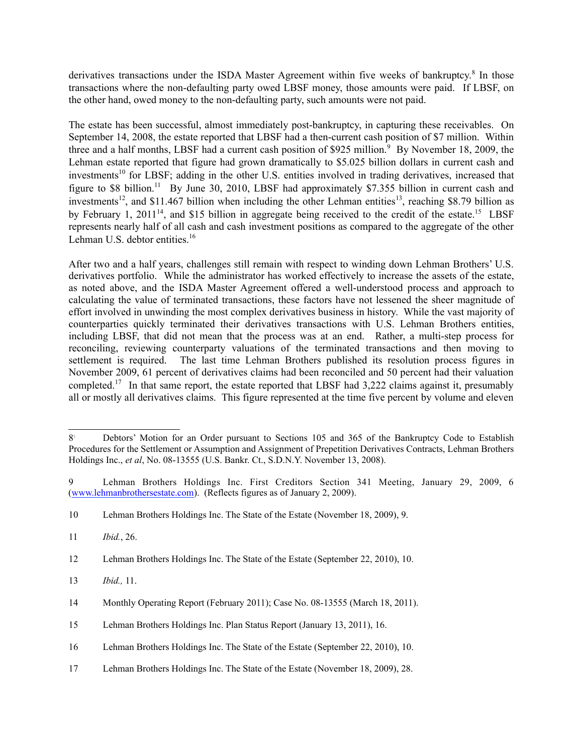derivatives transactions under the ISDA Master Agreement within five weeks of bankruptcy.<sup>8</sup> In those transactions where the non-defaulting party owed LBSF money, those amounts were paid. If LBSF, on the other hand, owed money to the non-defaulting party, such amounts were not paid.

The estate has been successful, almost immediately post-bankruptcy, in capturing these receivables. On September 14, 2008, the estate reported that LBSF had a then-current cash position of \$7 million. Within three and a half months, LBSF had a current cash position of \$925 million.<sup>9</sup> By November 18, 2009, the Lehman estate reported that figure had grown dramatically to \$5.025 billion dollars in current cash and investments<sup>10</sup> for LBSF; adding in the other U.S. entities involved in trading derivatives, increased that figure to \$8 billion.<sup>11</sup> By June 30, 2010, LBSF had approximately \$7.355 billion in current cash and investments<sup>12</sup>, and \$11.467 billion when including the other Lehman entities<sup>13</sup>, reaching \$8.79 billion as by February 1, 2011<sup>14</sup>, and \$15 billion in aggregate being received to the credit of the estate.<sup>15</sup> LBSF represents nearly half of all cash and cash investment positions as compared to the aggregate of the other Lehman U.S. debtor entities. $16$ 

After two and a half years, challenges still remain with respect to winding down Lehman Brothers' U.S. derivatives portfolio. While the administrator has worked effectively to increase the assets of the estate, as noted above, and the ISDA Master Agreement offered a well-understood process and approach to calculating the value of terminated transactions, these factors have not lessened the sheer magnitude of effort involved in unwinding the most complex derivatives business in history. While the vast majority of counterparties quickly terminated their derivatives transactions with U.S. Lehman Brothers entities, including LBSF, that did not mean that the process was at an end. Rather, a multi-step process for reconciling, reviewing counterparty valuations of the terminated transactions and then moving to settlement is required. The last time Lehman Brothers published its resolution process figures in November 2009, 61 percent of derivatives claims had been reconciled and 50 percent had their valuation completed.<sup>17</sup> In that same report, the estate reported that LBSF had 3,222 claims against it, presumably all or mostly all derivatives claims. This figure represented at the time five percent by volume and eleven

13 *Ibid.,* 11.

17 Lehman Brothers Holdings Inc. The State of the Estate (November 18, 2009), 28.

<sup>8&</sup>lt;sup>1</sup> Debtors' Motion for an Order pursuant to Sections 105 and 365 of the Bankruptcy Code to Establish Procedures for the Settlement or Assumption and Assignment of Prepetition Derivatives Contracts, Lehman Brothers Holdings Inc., *et al*, No. 08-13555 (U.S. Bankr. Ct., S.D.N.Y. November 13, 2008).

<sup>9</sup> Lehman Brothers Holdings Inc. First Creditors Section 341 Meeting, January 29, 2009, 6 (www.lehmanbrothersestate.com). (Reflects figures as of January 2, 2009).

<sup>10</sup> Lehman Brothers Holdings Inc. The State of the Estate (November 18, 2009), 9.

<sup>11</sup> *Ibid.*, 26.

<sup>12</sup> Lehman Brothers Holdings Inc. The State of the Estate (September 22, 2010), 10.

<sup>14</sup> Monthly Operating Report (February 2011); Case No. 08-13555 (March 18, 2011).

<sup>15</sup> Lehman Brothers Holdings Inc. Plan Status Report (January 13, 2011), 16.

<sup>16</sup> Lehman Brothers Holdings Inc. The State of the Estate (September 22, 2010), 10.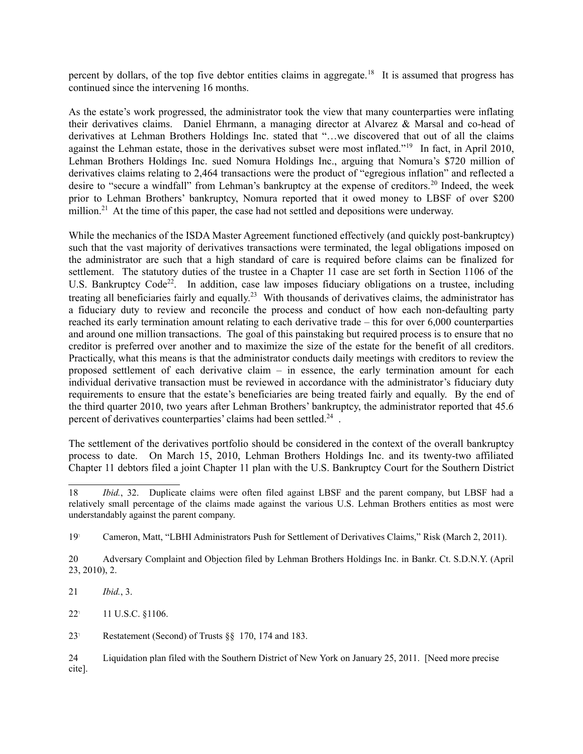percent by dollars, of the top five debtor entities claims in aggregate.<sup>18</sup> It is assumed that progress has continued since the intervening 16 months.

As the estate's work progressed, the administrator took the view that many counterparties were inflating their derivatives claims. Daniel Ehrmann, a managing director at Alvarez & Marsal and co-head of derivatives at Lehman Brothers Holdings Inc. stated that "…we discovered that out of all the claims against the Lehman estate, those in the derivatives subset were most inflated."<sup>19</sup> In fact, in April 2010, Lehman Brothers Holdings Inc. sued Nomura Holdings Inc., arguing that Nomura's \$720 million of derivatives claims relating to 2,464 transactions were the product of "egregious inflation" and reflected a desire to "secure a windfall" from Lehman's bankruptcy at the expense of creditors.<sup>20</sup> Indeed, the week prior to Lehman Brothers' bankruptcy, Nomura reported that it owed money to LBSF of over \$200 million.<sup>21</sup> At the time of this paper, the case had not settled and depositions were underway.

While the mechanics of the ISDA Master Agreement functioned effectively (and quickly post-bankruptcy) such that the vast majority of derivatives transactions were terminated, the legal obligations imposed on the administrator are such that a high standard of care is required before claims can be finalized for settlement. The statutory duties of the trustee in a Chapter 11 case are set forth in Section 1106 of the U.S. Bankruptcy Code<sup>22</sup>. In addition, case law imposes fiduciary obligations on a trustee, including treating all beneficiaries fairly and equally.<sup>23</sup> With thousands of derivatives claims, the administrator has a fiduciary duty to review and reconcile the process and conduct of how each non-defaulting party reached its early termination amount relating to each derivative trade – this for over 6,000 counterparties and around one million transactions. The goal of this painstaking but required process is to ensure that no creditor is preferred over another and to maximize the size of the estate for the benefit of all creditors. Practically, what this means is that the administrator conducts daily meetings with creditors to review the proposed settlement of each derivative claim – in essence, the early termination amount for each individual derivative transaction must be reviewed in accordance with the administrator's fiduciary duty requirements to ensure that the estate's beneficiaries are being treated fairly and equally. By the end of the third quarter 2010, two years after Lehman Brothers' bankruptcy, the administrator reported that 45.6 percent of derivatives counterparties' claims had been settled.<sup>24</sup>.

The settlement of the derivatives portfolio should be considered in the context of the overall bankruptcy process to date. On March 15, 2010, Lehman Brothers Holdings Inc. and its twenty-two affiliated Chapter 11 debtors filed a joint Chapter 11 plan with the U.S. Bankruptcy Court for the Southern District

21 *Ibid.*, 3.

22! 11 U.S.C. §1106.

23! Restatement (Second) of Trusts §§ 170, 174 and 183.

<sup>18</sup> *Ibid.*, 32. Duplicate claims were often filed against LBSF and the parent company, but LBSF had a relatively small percentage of the claims made against the various U.S. Lehman Brothers entities as most were understandably against the parent company.

<sup>19</sup>! Cameron, Matt, "LBHI Administrators Push for Settlement of Derivatives Claims," Risk (March 2, 2011).

<sup>20</sup> Adversary Complaint and Objection filed by Lehman Brothers Holdings Inc. in Bankr. Ct. S.D.N.Y. (April 23, 2010), 2.

<sup>24</sup> Liquidation plan filed with the Southern District of New York on January 25, 2011. [Need more precise cite].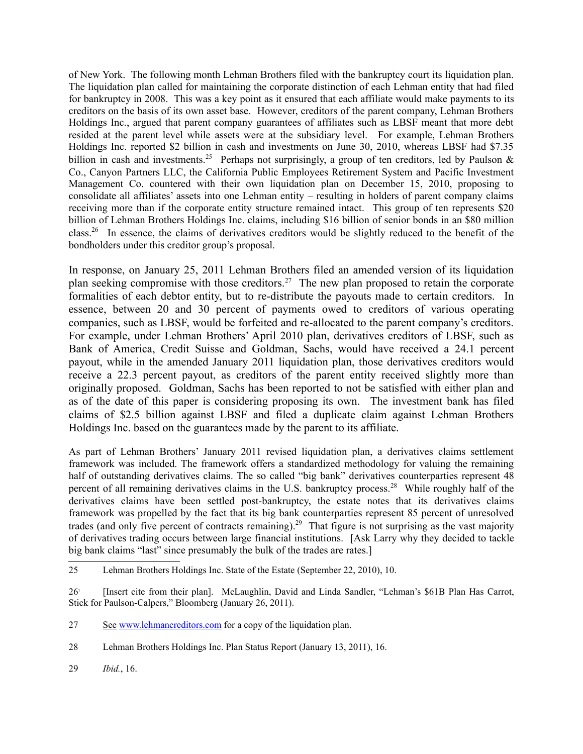of New York. The following month Lehman Brothers filed with the bankruptcy court its liquidation plan. The liquidation plan called for maintaining the corporate distinction of each Lehman entity that had filed for bankruptcy in 2008. This was a key point as it ensured that each affiliate would make payments to its creditors on the basis of its own asset base. However, creditors of the parent company, Lehman Brothers Holdings Inc., argued that parent company guarantees of affiliates such as LBSF meant that more debt resided at the parent level while assets were at the subsidiary level. For example, Lehman Brothers Holdings Inc. reported \$2 billion in cash and investments on June 30, 2010, whereas LBSF had \$7.35 billion in cash and investments.<sup>25</sup> Perhaps not surprisingly, a group of ten creditors, led by Paulson  $\&$ Co., Canyon Partners LLC, the California Public Employees Retirement System and Pacific Investment Management Co. countered with their own liquidation plan on December 15, 2010, proposing to consolidate all affiliates' assets into one Lehman entity – resulting in holders of parent company claims receiving more than if the corporate entity structure remained intact. This group of ten represents \$20 billion of Lehman Brothers Holdings Inc. claims, including \$16 billion of senior bonds in an \$80 million class.<sup>26</sup> In essence, the claims of derivatives creditors would be slightly reduced to the benefit of the bondholders under this creditor group's proposal.

In response, on January 25, 2011 Lehman Brothers filed an amended version of its liquidation plan seeking compromise with those creditors.<sup>27</sup> The new plan proposed to retain the corporate formalities of each debtor entity, but to re-distribute the payouts made to certain creditors. In essence, between 20 and 30 percent of payments owed to creditors of various operating companies, such as LBSF, would be forfeited and re-allocated to the parent company's creditors. For example, under Lehman Brothers' April 2010 plan, derivatives creditors of LBSF, such as Bank of America, Credit Suisse and Goldman, Sachs, would have received a 24.1 percent payout, while in the amended January 2011 liquidation plan, those derivatives creditors would receive a 22.3 percent payout, as creditors of the parent entity received slightly more than originally proposed. Goldman, Sachs has been reported to not be satisfied with either plan and as of the date of this paper is considering proposing its own. The investment bank has filed claims of \$2.5 billion against LBSF and filed a duplicate claim against Lehman Brothers Holdings Inc. based on the guarantees made by the parent to its affiliate.

As part of Lehman Brothers' January 2011 revised liquidation plan, a derivatives claims settlement framework was included. The framework offers a standardized methodology for valuing the remaining half of outstanding derivatives claims. The so called "big bank" derivatives counterparties represent 48 percent of all remaining derivatives claims in the U.S. bankruptcy process.<sup>28</sup> While roughly half of the derivatives claims have been settled post-bankruptcy, the estate notes that its derivatives claims framework was propelled by the fact that its big bank counterparties represent 85 percent of unresolved trades (and only five percent of contracts remaining).<sup>29</sup> That figure is not surprising as the vast majority of derivatives trading occurs between large financial institutions. [Ask Larry why they decided to tackle big bank claims "last" since presumably the bulk of the trades are rates.]

<sup>25</sup> Lehman Brothers Holdings Inc. State of the Estate (September 22, 2010), 10.

<sup>26</sup>! [Insert cite from their plan]. McLaughlin, David and Linda Sandler, "Lehman's \$61B Plan Has Carrot, Stick for Paulson-Calpers," Bloomberg (January 26, 2011).

<sup>27</sup> See www.lehmancreditors.com for a copy of the liquidation plan.

<sup>28</sup> Lehman Brothers Holdings Inc. Plan Status Report (January 13, 2011), 16.

<sup>29</sup> *Ibid.*, 16.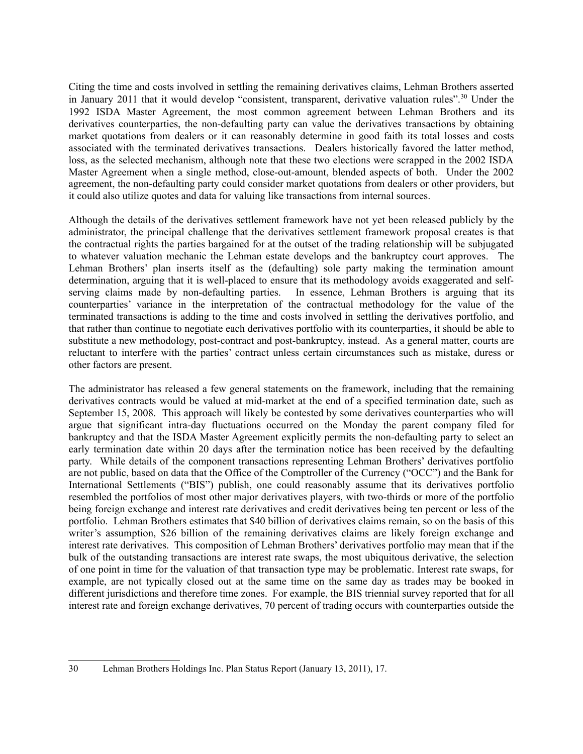Citing the time and costs involved in settling the remaining derivatives claims, Lehman Brothers asserted in January 2011 that it would develop "consistent, transparent, derivative valuation rules".<sup>30</sup> Under the 1992 ISDA Master Agreement, the most common agreement between Lehman Brothers and its derivatives counterparties, the non-defaulting party can value the derivatives transactions by obtaining market quotations from dealers or it can reasonably determine in good faith its total losses and costs associated with the terminated derivatives transactions. Dealers historically favored the latter method, loss, as the selected mechanism, although note that these two elections were scrapped in the 2002 ISDA Master Agreement when a single method, close-out-amount, blended aspects of both. Under the 2002 agreement, the non-defaulting party could consider market quotations from dealers or other providers, but it could also utilize quotes and data for valuing like transactions from internal sources.

Although the details of the derivatives settlement framework have not yet been released publicly by the administrator, the principal challenge that the derivatives settlement framework proposal creates is that the contractual rights the parties bargained for at the outset of the trading relationship will be subjugated to whatever valuation mechanic the Lehman estate develops and the bankruptcy court approves. The Lehman Brothers' plan inserts itself as the (defaulting) sole party making the termination amount determination, arguing that it is well-placed to ensure that its methodology avoids exaggerated and selfserving claims made by non-defaulting parties. In essence, Lehman Brothers is arguing that its counterparties' variance in the interpretation of the contractual methodology for the value of the terminated transactions is adding to the time and costs involved in settling the derivatives portfolio, and that rather than continue to negotiate each derivatives portfolio with its counterparties, it should be able to substitute a new methodology, post-contract and post-bankruptcy, instead. As a general matter, courts are reluctant to interfere with the parties' contract unless certain circumstances such as mistake, duress or other factors are present.

The administrator has released a few general statements on the framework, including that the remaining derivatives contracts would be valued at mid-market at the end of a specified termination date, such as September 15, 2008. This approach will likely be contested by some derivatives counterparties who will argue that significant intra-day fluctuations occurred on the Monday the parent company filed for bankruptcy and that the ISDA Master Agreement explicitly permits the non-defaulting party to select an early termination date within 20 days after the termination notice has been received by the defaulting party. While details of the component transactions representing Lehman Brothers' derivatives portfolio are not public, based on data that the Office of the Comptroller of the Currency ("OCC") and the Bank for International Settlements ("BIS") publish, one could reasonably assume that its derivatives portfolio resembled the portfolios of most other major derivatives players, with two-thirds or more of the portfolio being foreign exchange and interest rate derivatives and credit derivatives being ten percent or less of the portfolio. Lehman Brothers estimates that \$40 billion of derivatives claims remain, so on the basis of this writer's assumption, \$26 billion of the remaining derivatives claims are likely foreign exchange and interest rate derivatives. This composition of Lehman Brothers' derivatives portfolio may mean that if the bulk of the outstanding transactions are interest rate swaps, the most ubiquitous derivative, the selection of one point in time for the valuation of that transaction type may be problematic. Interest rate swaps, for example, are not typically closed out at the same time on the same day as trades may be booked in different jurisdictions and therefore time zones. For example, the BIS triennial survey reported that for all interest rate and foreign exchange derivatives, 70 percent of trading occurs with counterparties outside the

<sup>30</sup> Lehman Brothers Holdings Inc. Plan Status Report (January 13, 2011), 17.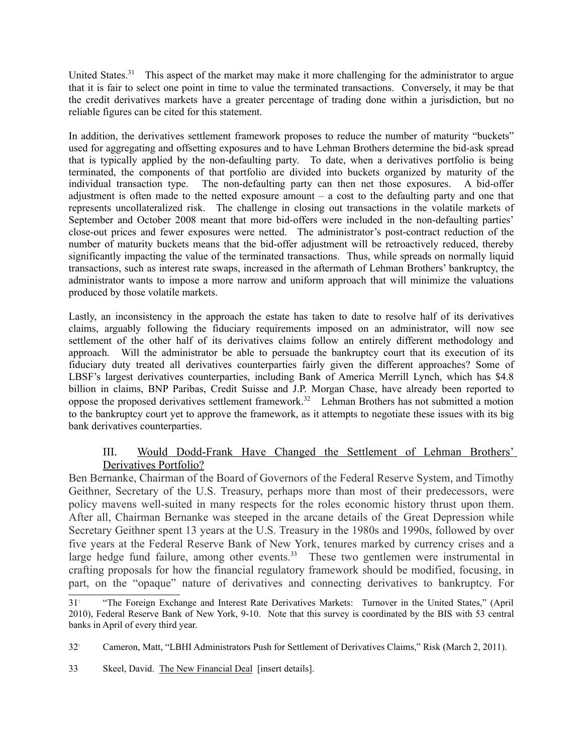United States.<sup>31</sup> This aspect of the market may make it more challenging for the administrator to argue that it is fair to select one point in time to value the terminated transactions. Conversely, it may be that the credit derivatives markets have a greater percentage of trading done within a jurisdiction, but no reliable figures can be cited for this statement.

In addition, the derivatives settlement framework proposes to reduce the number of maturity "buckets" used for aggregating and offsetting exposures and to have Lehman Brothers determine the bid-ask spread that is typically applied by the non-defaulting party. To date, when a derivatives portfolio is being terminated, the components of that portfolio are divided into buckets organized by maturity of the individual transaction type. The non-defaulting party can then net those exposures. A bid-offer adjustment is often made to the netted exposure amount  $-$  a cost to the defaulting party and one that represents uncollateralized risk. The challenge in closing out transactions in the volatile markets of September and October 2008 meant that more bid-offers were included in the non-defaulting parties' close-out prices and fewer exposures were netted. The administrator's post-contract reduction of the number of maturity buckets means that the bid-offer adjustment will be retroactively reduced, thereby significantly impacting the value of the terminated transactions. Thus, while spreads on normally liquid transactions, such as interest rate swaps, increased in the aftermath of Lehman Brothers' bankruptcy, the administrator wants to impose a more narrow and uniform approach that will minimize the valuations produced by those volatile markets.

Lastly, an inconsistency in the approach the estate has taken to date to resolve half of its derivatives claims, arguably following the fiduciary requirements imposed on an administrator, will now see settlement of the other half of its derivatives claims follow an entirely different methodology and approach. Will the administrator be able to persuade the bankruptcy court that its execution of its fiduciary duty treated all derivatives counterparties fairly given the different approaches? Some of LBSF's largest derivatives counterparties, including Bank of America Merrill Lynch, which has \$4.8 billion in claims, BNP Paribas, Credit Suisse and J.P. Morgan Chase, have already been reported to oppose the proposed derivatives settlement framework.<sup>32</sup> Lehman Brothers has not submitted a motion to the bankruptcy court yet to approve the framework, as it attempts to negotiate these issues with its big bank derivatives counterparties.

### III. Would Dodd-Frank Have Changed the Settlement of Lehman Brothers' Derivatives Portfolio?

Ben Bernanke, Chairman of the Board of Governors of the Federal Reserve System, and Timothy Geithner, Secretary of the U.S. Treasury, perhaps more than most of their predecessors, were policy mavens well-suited in many respects for the roles economic history thrust upon them. After all, Chairman Bernanke was steeped in the arcane details of the Great Depression while Secretary Geithner spent 13 years at the U.S. Treasury in the 1980s and 1990s, followed by over five years at the Federal Reserve Bank of New York, tenures marked by currency crises and a large hedge fund failure, among other events.<sup>33</sup> These two gentlemen were instrumental in crafting proposals for how the financial regulatory framework should be modified, focusing, in part, on the "opaque" nature of derivatives and connecting derivatives to bankruptcy. For

<sup>31</sup>! "The Foreign Exchange and Interest Rate Derivatives Markets: Turnover in the United States," (April 2010), Federal Reserve Bank of New York, 9-10. Note that this survey is coordinated by the BIS with 53 central banks in April of every third year.

<sup>32</sup>! Cameron, Matt, "LBHI Administrators Push for Settlement of Derivatives Claims," Risk (March 2, 2011).

<sup>33</sup> Skeel, David. The New Financial Deal [insert details].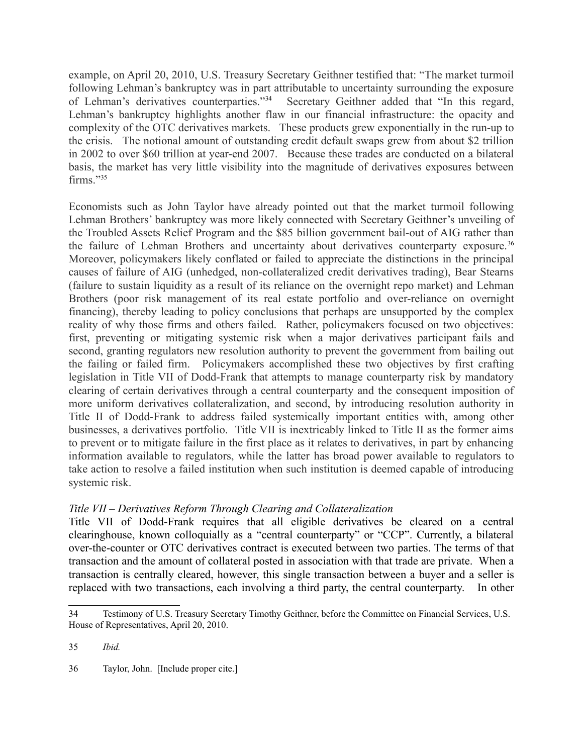example, on April 20, 2010, U.S. Treasury Secretary Geithner testified that: "The market turmoil following Lehman's bankruptcy was in part attributable to uncertainty surrounding the exposure of Lehman's derivatives counterparties."34 Secretary Geithner added that "In this regard, Lehman's bankruptcy highlights another flaw in our financial infrastructure: the opacity and complexity of the OTC derivatives markets. These products grew exponentially in the run-up to the crisis. The notional amount of outstanding credit default swaps grew from about \$2 trillion in 2002 to over \$60 trillion at year-end 2007. Because these trades are conducted on a bilateral basis, the market has very little visibility into the magnitude of derivatives exposures between firms."35

Economists such as John Taylor have already pointed out that the market turmoil following Lehman Brothers' bankruptcy was more likely connected with Secretary Geithner's unveiling of the Troubled Assets Relief Program and the \$85 billion government bail-out of AIG rather than the failure of Lehman Brothers and uncertainty about derivatives counterparty exposure.<sup>36</sup> Moreover, policymakers likely conflated or failed to appreciate the distinctions in the principal causes of failure of AIG (unhedged, non-collateralized credit derivatives trading), Bear Stearns (failure to sustain liquidity as a result of its reliance on the overnight repo market) and Lehman Brothers (poor risk management of its real estate portfolio and over-reliance on overnight financing), thereby leading to policy conclusions that perhaps are unsupported by the complex reality of why those firms and others failed. Rather, policymakers focused on two objectives: first, preventing or mitigating systemic risk when a major derivatives participant fails and second, granting regulators new resolution authority to prevent the government from bailing out the failing or failed firm. Policymakers accomplished these two objectives by first crafting legislation in Title VII of Dodd-Frank that attempts to manage counterparty risk by mandatory clearing of certain derivatives through a central counterparty and the consequent imposition of more uniform derivatives collateralization, and second, by introducing resolution authority in Title II of Dodd-Frank to address failed systemically important entities with, among other businesses, a derivatives portfolio. Title VII is inextricably linked to Title II as the former aims to prevent or to mitigate failure in the first place as it relates to derivatives, in part by enhancing information available to regulators, while the latter has broad power available to regulators to take action to resolve a failed institution when such institution is deemed capable of introducing systemic risk.

## *Title VII – Derivatives Reform Through Clearing and Collateralization*

Title VII of Dodd-Frank requires that all eligible derivatives be cleared on a central clearinghouse, known colloquially as a "central counterparty" or "CCP". Currently, a bilateral over-the-counter or OTC derivatives contract is executed between two parties. The terms of that transaction and the amount of collateral posted in association with that trade are private. When a transaction is centrally cleared, however, this single transaction between a buyer and a seller is replaced with two transactions, each involving a third party, the central counterparty. In other

36 Taylor, John. [Include proper cite.]

<sup>34</sup> Testimony of U.S. Treasury Secretary Timothy Geithner, before the Committee on Financial Services, U.S. House of Representatives, April 20, 2010.

<sup>35</sup> *Ibid.*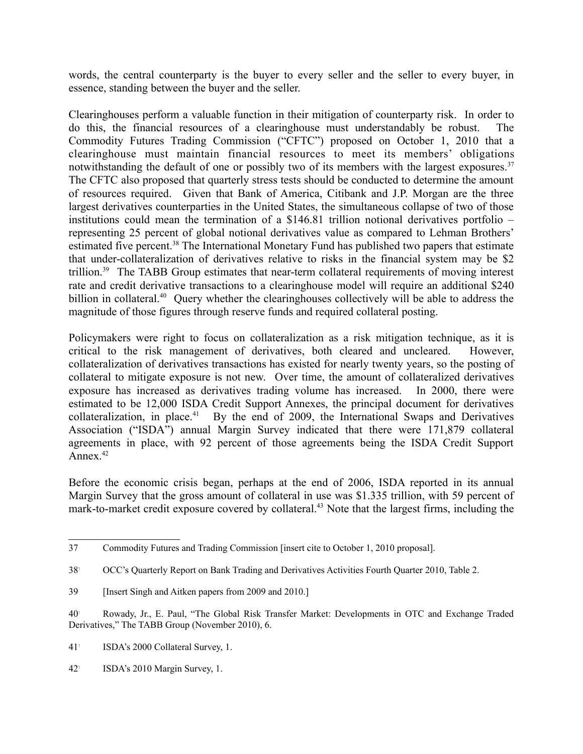words, the central counterparty is the buyer to every seller and the seller to every buyer, in essence, standing between the buyer and the seller.

Clearinghouses perform a valuable function in their mitigation of counterparty risk. In order to do this, the financial resources of a clearinghouse must understandably be robust. The Commodity Futures Trading Commission ("CFTC") proposed on October 1, 2010 that a clearinghouse must maintain financial resources to meet its members' obligations notwithstanding the default of one or possibly two of its members with the largest exposures.<sup>37</sup> The CFTC also proposed that quarterly stress tests should be conducted to determine the amount of resources required. Given that Bank of America, Citibank and J.P. Morgan are the three largest derivatives counterparties in the United States, the simultaneous collapse of two of those institutions could mean the termination of a \$146.81 trillion notional derivatives portfolio – representing 25 percent of global notional derivatives value as compared to Lehman Brothers' estimated five percent.<sup>38</sup> The International Monetary Fund has published two papers that estimate that under-collateralization of derivatives relative to risks in the financial system may be \$2 trillion.39 The TABB Group estimates that near-term collateral requirements of moving interest rate and credit derivative transactions to a clearinghouse model will require an additional \$240 billion in collateral.<sup>40</sup> Query whether the clearinghouses collectively will be able to address the magnitude of those figures through reserve funds and required collateral posting.

Policymakers were right to focus on collateralization as a risk mitigation technique, as it is critical to the risk management of derivatives, both cleared and uncleared. However, collateralization of derivatives transactions has existed for nearly twenty years, so the posting of collateral to mitigate exposure is not new. Over time, the amount of collateralized derivatives exposure has increased as derivatives trading volume has increased. In 2000, there were estimated to be 12,000 ISDA Credit Support Annexes, the principal document for derivatives collateralization, in place.<sup>41</sup> By the end of 2009, the International Swaps and Derivatives Association ("ISDA") annual Margin Survey indicated that there were 171,879 collateral agreements in place, with 92 percent of those agreements being the ISDA Credit Support Annex. $42$ 

Before the economic crisis began, perhaps at the end of 2006, ISDA reported in its annual Margin Survey that the gross amount of collateral in use was \$1.335 trillion, with 59 percent of mark-to-market credit exposure covered by collateral.<sup>43</sup> Note that the largest firms, including the

<sup>37</sup> Commodity Futures and Trading Commission [insert cite to October 1, 2010 proposal].

<sup>38</sup>! OCC's Quarterly Report on Bank Trading and Derivatives Activities Fourth Quarter 2010, Table 2.

<sup>39</sup> [Insert Singh and Aitken papers from 2009 and 2010.]

<sup>40</sup>! Rowady, Jr., E. Paul, "The Global Risk Transfer Market: Developments in OTC and Exchange Traded Derivatives," The TABB Group (November 2010), 6.

<sup>41</sup>! ISDA's 2000 Collateral Survey, 1.

<sup>42</sup>! ISDA's 2010 Margin Survey, 1.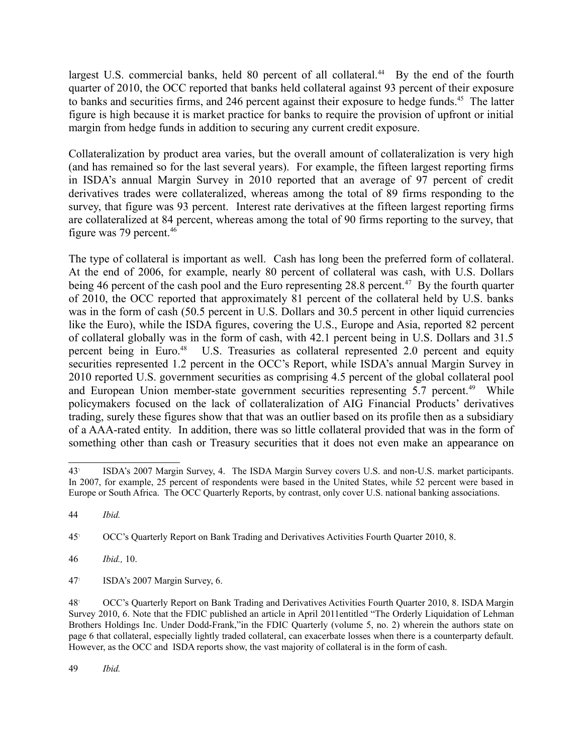largest U.S. commercial banks, held 80 percent of all collateral.<sup>44</sup> By the end of the fourth quarter of 2010, the OCC reported that banks held collateral against 93 percent of their exposure to banks and securities firms, and 246 percent against their exposure to hedge funds.<sup>45</sup> The latter figure is high because it is market practice for banks to require the provision of upfront or initial margin from hedge funds in addition to securing any current credit exposure.

Collateralization by product area varies, but the overall amount of collateralization is very high (and has remained so for the last several years). For example, the fifteen largest reporting firms in ISDA's annual Margin Survey in 2010 reported that an average of 97 percent of credit derivatives trades were collateralized, whereas among the total of 89 firms responding to the survey, that figure was 93 percent. Interest rate derivatives at the fifteen largest reporting firms are collateralized at 84 percent, whereas among the total of 90 firms reporting to the survey, that figure was 79 percent.<sup>46</sup>

The type of collateral is important as well. Cash has long been the preferred form of collateral. At the end of 2006, for example, nearly 80 percent of collateral was cash, with U.S. Dollars being 46 percent of the cash pool and the Euro representing  $28.8$  percent.<sup>47</sup> By the fourth quarter of 2010, the OCC reported that approximately 81 percent of the collateral held by U.S. banks was in the form of cash (50.5 percent in U.S. Dollars and 30.5 percent in other liquid currencies like the Euro), while the ISDA figures, covering the U.S., Europe and Asia, reported 82 percent of collateral globally was in the form of cash, with 42.1 percent being in U.S. Dollars and 31.5 percent being in Euro.<sup>48</sup> U.S. Treasuries as collateral represented 2.0 percent and equity securities represented 1.2 percent in the OCC's Report, while ISDA's annual Margin Survey in 2010 reported U.S. government securities as comprising 4.5 percent of the global collateral pool and European Union member-state government securities representing 5.7 percent.<sup>49</sup> While policymakers focused on the lack of collateralization of AIG Financial Products' derivatives trading, surely these figures show that that was an outlier based on its profile then as a subsidiary of a AAA-rated entity. In addition, there was so little collateral provided that was in the form of something other than cash or Treasury securities that it does not even make an appearance on

45! OCC's Quarterly Report on Bank Trading and Derivatives Activities Fourth Quarter 2010, 8.

46 *Ibid.,* 10.

47! ISDA's 2007 Margin Survey, 6.

49 *Ibid.*

<sup>43</sup>! ISDA's 2007 Margin Survey, 4. The ISDA Margin Survey covers U.S. and non-U.S. market participants. In 2007, for example, 25 percent of respondents were based in the United States, while 52 percent were based in Europe or South Africa. The OCC Quarterly Reports, by contrast, only cover U.S. national banking associations.

<sup>44</sup> *Ibid.*

<sup>48</sup>! OCC's Quarterly Report on Bank Trading and Derivatives Activities Fourth Quarter 2010, 8. ISDA Margin Survey 2010, 6. Note that the FDIC published an article in April 2011entitled "The Orderly Liquidation of Lehman Brothers Holdings Inc. Under Dodd-Frank,"in the FDIC Quarterly (volume 5, no. 2) wherein the authors state on page 6 that collateral, especially lightly traded collateral, can exacerbate losses when there is a counterparty default. However, as the OCC and ISDA reports show, the vast majority of collateral is in the form of cash.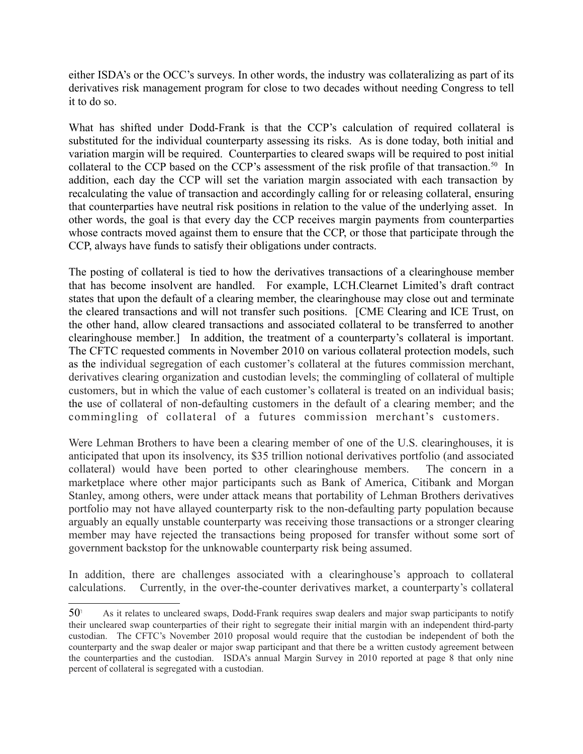either ISDA's or the OCC's surveys. In other words, the industry was collateralizing as part of its derivatives risk management program for close to two decades without needing Congress to tell it to do so.

What has shifted under Dodd-Frank is that the CCP's calculation of required collateral is substituted for the individual counterparty assessing its risks. As is done today, both initial and variation margin will be required. Counterparties to cleared swaps will be required to post initial collateral to the CCP based on the CCP's assessment of the risk profile of that transaction.<sup>50</sup> In addition, each day the CCP will set the variation margin associated with each transaction by recalculating the value of transaction and accordingly calling for or releasing collateral, ensuring that counterparties have neutral risk positions in relation to the value of the underlying asset. In other words, the goal is that every day the CCP receives margin payments from counterparties whose contracts moved against them to ensure that the CCP, or those that participate through the CCP, always have funds to satisfy their obligations under contracts.

The posting of collateral is tied to how the derivatives transactions of a clearinghouse member that has become insolvent are handled. For example, LCH.Clearnet Limited's draft contract states that upon the default of a clearing member, the clearinghouse may close out and terminate the cleared transactions and will not transfer such positions. [CME Clearing and ICE Trust, on the other hand, allow cleared transactions and associated collateral to be transferred to another clearinghouse member.] In addition, the treatment of a counterparty's collateral is important. The CFTC requested comments in November 2010 on various collateral protection models, such as the individual segregation of each customer's collateral at the futures commission merchant, derivatives clearing organization and custodian levels; the commingling of collateral of multiple customers, but in which the value of each customer's collateral is treated on an individual basis; the use of collateral of non-defaulting customers in the default of a clearing member; and the commingling of collateral of a futures commission merchant's customers.

Were Lehman Brothers to have been a clearing member of one of the U.S. clearinghouses, it is anticipated that upon its insolvency, its \$35 trillion notional derivatives portfolio (and associated collateral) would have been ported to other clearinghouse members. The concern in a marketplace where other major participants such as Bank of America, Citibank and Morgan Stanley, among others, were under attack means that portability of Lehman Brothers derivatives portfolio may not have allayed counterparty risk to the non-defaulting party population because arguably an equally unstable counterparty was receiving those transactions or a stronger clearing member may have rejected the transactions being proposed for transfer without some sort of government backstop for the unknowable counterparty risk being assumed.

In addition, there are challenges associated with a clearinghouse's approach to collateral calculations. Currently, in the over-the-counter derivatives market, a counterparty's collateral

 $50<sup>1</sup>$  As it relates to uncleared swaps, Dodd-Frank requires swap dealers and major swap participants to notify their uncleared swap counterparties of their right to segregate their initial margin with an independent third-party custodian. The CFTC's November 2010 proposal would require that the custodian be independent of both the counterparty and the swap dealer or major swap participant and that there be a written custody agreement between the counterparties and the custodian. ISDA's annual Margin Survey in 2010 reported at page 8 that only nine percent of collateral is segregated with a custodian.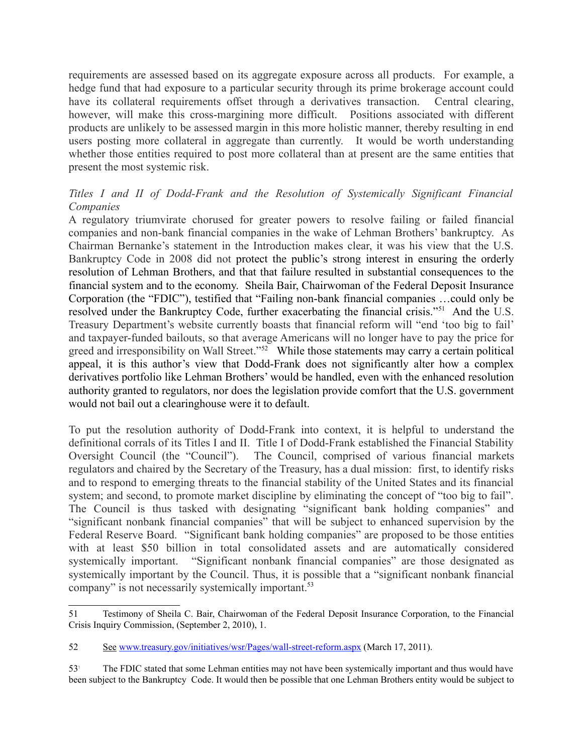requirements are assessed based on its aggregate exposure across all products. For example, a hedge fund that had exposure to a particular security through its prime brokerage account could have its collateral requirements offset through a derivatives transaction. Central clearing, however, will make this cross-margining more difficult. Positions associated with different products are unlikely to be assessed margin in this more holistic manner, thereby resulting in end users posting more collateral in aggregate than currently. It would be worth understanding whether those entities required to post more collateral than at present are the same entities that present the most systemic risk.

# *Titles I and II of Dodd-Frank and the Resolution of Systemically Significant Financial Companies*

A regulatory triumvirate chorused for greater powers to resolve failing or failed financial companies and non-bank financial companies in the wake of Lehman Brothers' bankruptcy. As Chairman Bernanke's statement in the Introduction makes clear, it was his view that the U.S. Bankruptcy Code in 2008 did not protect the public's strong interest in ensuring the orderly resolution of Lehman Brothers, and that that failure resulted in substantial consequences to the financial system and to the economy. Sheila Bair, Chairwoman of the Federal Deposit Insurance Corporation (the "FDIC"), testified that "Failing non-bank financial companies …could only be resolved under the Bankruptcy Code, further exacerbating the financial crisis."<sup>51</sup> And the U.S. Treasury Department's website currently boasts that financial reform will "end 'too big to fail' and taxpayer-funded bailouts, so that average Americans will no longer have to pay the price for greed and irresponsibility on Wall Street."<sup>52</sup> While those statements may carry a certain political appeal, it is this author's view that Dodd-Frank does not significantly alter how a complex derivatives portfolio like Lehman Brothers' would be handled, even with the enhanced resolution authority granted to regulators, nor does the legislation provide comfort that the U.S. government would not bail out a clearinghouse were it to default.

To put the resolution authority of Dodd-Frank into context, it is helpful to understand the definitional corrals of its Titles I and II. Title I of Dodd-Frank established the Financial Stability Oversight Council (the "Council"). The Council, comprised of various financial markets regulators and chaired by the Secretary of the Treasury, has a dual mission: first, to identify risks and to respond to emerging threats to the financial stability of the United States and its financial system; and second, to promote market discipline by eliminating the concept of "too big to fail". The Council is thus tasked with designating "significant bank holding companies" and "significant nonbank financial companies" that will be subject to enhanced supervision by the Federal Reserve Board. "Significant bank holding companies" are proposed to be those entities with at least \$50 billion in total consolidated assets and are automatically considered systemically important. "Significant nonbank financial companies" are those designated as systemically important by the Council. Thus, it is possible that a "significant nonbank financial company" is not necessarily systemically important.<sup>53</sup>

<sup>51</sup> Testimony of Sheila C. Bair, Chairwoman of the Federal Deposit Insurance Corporation, to the Financial Crisis Inquiry Commission, (September 2, 2010), 1.

<sup>52</sup> See www.treasury.gov/initiatives/wsr/Pages/wall-street-reform.aspx (March 17, 2011).

<sup>53</sup>! The FDIC stated that some Lehman entities may not have been systemically important and thus would have been subject to the Bankruptcy Code. It would then be possible that one Lehman Brothers entity would be subject to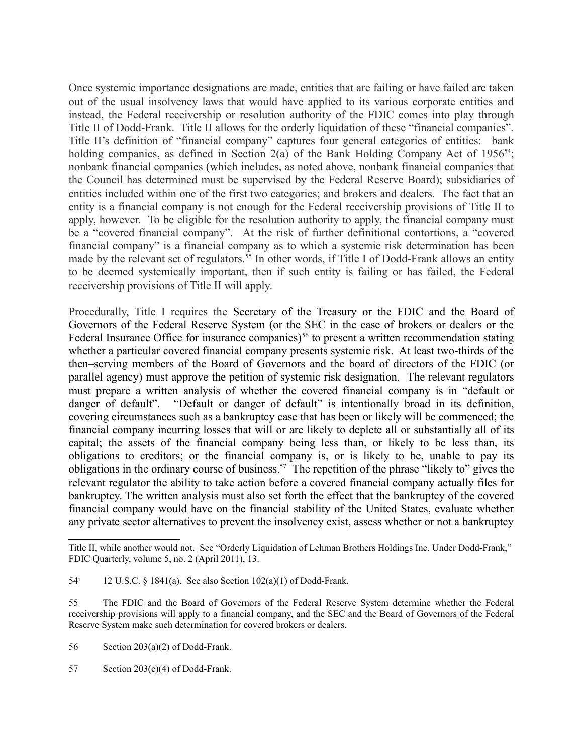Once systemic importance designations are made, entities that are failing or have failed are taken out of the usual insolvency laws that would have applied to its various corporate entities and instead, the Federal receivership or resolution authority of the FDIC comes into play through Title II of Dodd-Frank. Title II allows for the orderly liquidation of these "financial companies". Title II's definition of "financial company" captures four general categories of entities: bank holding companies, as defined in Section 2(a) of the Bank Holding Company Act of  $1956^{54}$ ; nonbank financial companies (which includes, as noted above, nonbank financial companies that the Council has determined must be supervised by the Federal Reserve Board); subsidiaries of entities included within one of the first two categories; and brokers and dealers. The fact that an entity is a financial company is not enough for the Federal receivership provisions of Title II to apply, however. To be eligible for the resolution authority to apply, the financial company must be a "covered financial company". At the risk of further definitional contortions, a "covered financial company" is a financial company as to which a systemic risk determination has been made by the relevant set of regulators.<sup>55</sup> In other words, if Title I of Dodd-Frank allows an entity to be deemed systemically important, then if such entity is failing or has failed, the Federal receivership provisions of Title II will apply.

Procedurally, Title I requires the Secretary of the Treasury or the FDIC and the Board of Governors of the Federal Reserve System (or the SEC in the case of brokers or dealers or the Federal Insurance Office for insurance companies)<sup>56</sup> to present a written recommendation stating whether a particular covered financial company presents systemic risk. At least two-thirds of the then–serving members of the Board of Governors and the board of directors of the FDIC (or parallel agency) must approve the petition of systemic risk designation. The relevant regulators must prepare a written analysis of whether the covered financial company is in "default or danger of default". "Default or danger of default" is intentionally broad in its definition, covering circumstances such as a bankruptcy case that has been or likely will be commenced; the financial company incurring losses that will or are likely to deplete all or substantially all of its capital; the assets of the financial company being less than, or likely to be less than, its obligations to creditors; or the financial company is, or is likely to be, unable to pay its obligations in the ordinary course of business.57 The repetition of the phrase "likely to" gives the relevant regulator the ability to take action before a covered financial company actually files for bankruptcy. The written analysis must also set forth the effect that the bankruptcy of the covered financial company would have on the financial stability of the United States, evaluate whether any private sector alternatives to prevent the insolvency exist, assess whether or not a bankruptcy

Title II, while another would not. See "Orderly Liquidation of Lehman Brothers Holdings Inc. Under Dodd-Frank," FDIC Quarterly, volume 5, no. 2 (April 2011), 13.

<sup>54</sup>! 12 U.S.C. § 1841(a). See also Section 102(a)(1) of Dodd-Frank.

<sup>55</sup> The FDIC and the Board of Governors of the Federal Reserve System determine whether the Federal receivership provisions will apply to a financial company, and the SEC and the Board of Governors of the Federal Reserve System make such determination for covered brokers or dealers.

<sup>56</sup> Section 203(a)(2) of Dodd-Frank.

<sup>57</sup> Section 203(c)(4) of Dodd-Frank.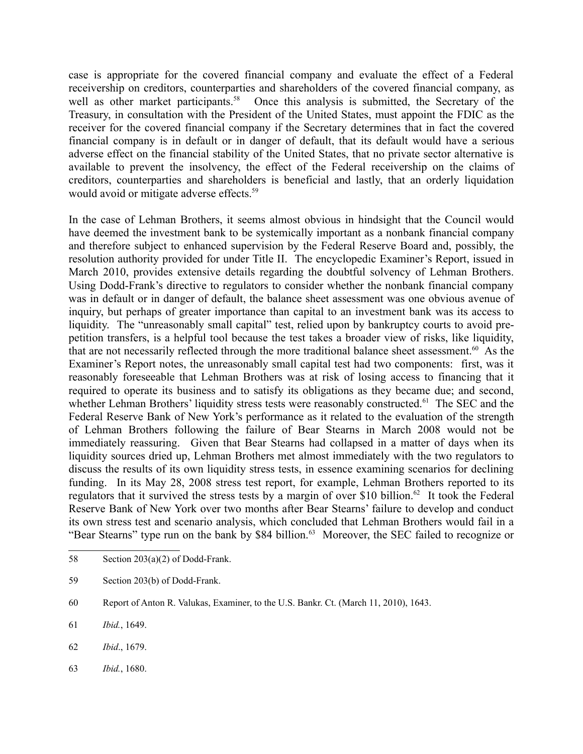case is appropriate for the covered financial company and evaluate the effect of a Federal receivership on creditors, counterparties and shareholders of the covered financial company, as well as other market participants.<sup>58</sup> Once this analysis is submitted, the Secretary of the Treasury, in consultation with the President of the United States, must appoint the FDIC as the receiver for the covered financial company if the Secretary determines that in fact the covered financial company is in default or in danger of default, that its default would have a serious adverse effect on the financial stability of the United States, that no private sector alternative is available to prevent the insolvency, the effect of the Federal receivership on the claims of creditors, counterparties and shareholders is beneficial and lastly, that an orderly liquidation would avoid or mitigate adverse effects.<sup>59</sup>

In the case of Lehman Brothers, it seems almost obvious in hindsight that the Council would have deemed the investment bank to be systemically important as a nonbank financial company and therefore subject to enhanced supervision by the Federal Reserve Board and, possibly, the resolution authority provided for under Title II. The encyclopedic Examiner's Report, issued in March 2010, provides extensive details regarding the doubtful solvency of Lehman Brothers. Using Dodd-Frank's directive to regulators to consider whether the nonbank financial company was in default or in danger of default, the balance sheet assessment was one obvious avenue of inquiry, but perhaps of greater importance than capital to an investment bank was its access to liquidity. The "unreasonably small capital" test, relied upon by bankruptcy courts to avoid prepetition transfers, is a helpful tool because the test takes a broader view of risks, like liquidity, that are not necessarily reflected through the more traditional balance sheet assessment.<sup>60</sup> As the Examiner's Report notes, the unreasonably small capital test had two components: first, was it reasonably foreseeable that Lehman Brothers was at risk of losing access to financing that it required to operate its business and to satisfy its obligations as they became due; and second, whether Lehman Brothers' liquidity stress tests were reasonably constructed.<sup>61</sup> The SEC and the Federal Reserve Bank of New York's performance as it related to the evaluation of the strength of Lehman Brothers following the failure of Bear Stearns in March 2008 would not be immediately reassuring. Given that Bear Stearns had collapsed in a matter of days when its liquidity sources dried up, Lehman Brothers met almost immediately with the two regulators to discuss the results of its own liquidity stress tests, in essence examining scenarios for declining funding. In its May 28, 2008 stress test report, for example, Lehman Brothers reported to its regulators that it survived the stress tests by a margin of over \$10 billion.<sup>62</sup> It took the Federal Reserve Bank of New York over two months after Bear Stearns' failure to develop and conduct its own stress test and scenario analysis, which concluded that Lehman Brothers would fail in a "Bear Stearns" type run on the bank by \$84 billion.<sup>63</sup> Moreover, the SEC failed to recognize or

- 62 *Ibid*., 1679.
- 63 *Ibid.*, 1680.

<sup>58</sup> Section 203(a)(2) of Dodd-Frank.

<sup>59</sup> Section 203(b) of Dodd-Frank.

<sup>60</sup> Report of Anton R. Valukas, Examiner, to the U.S. Bankr. Ct. (March 11, 2010), 1643.

<sup>61</sup> *Ibid.*, 1649.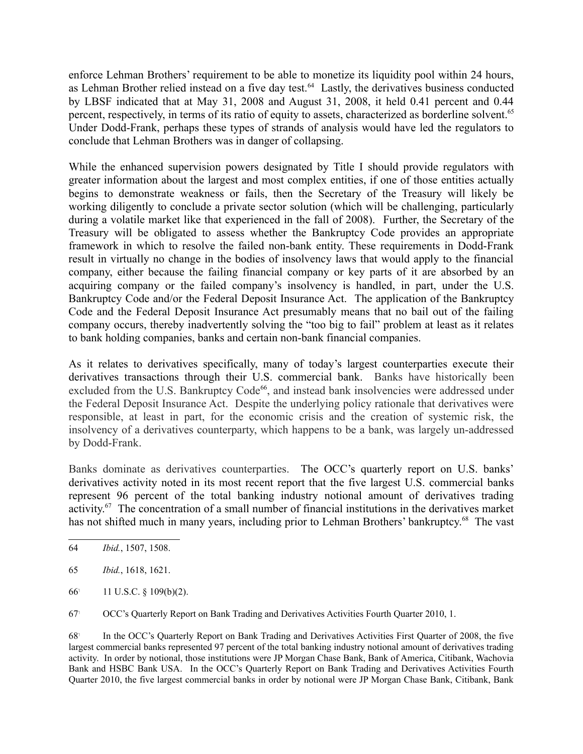enforce Lehman Brothers' requirement to be able to monetize its liquidity pool within 24 hours, as Lehman Brother relied instead on a five day test.<sup>64</sup> Lastly, the derivatives business conducted by LBSF indicated that at May 31, 2008 and August 31, 2008, it held 0.41 percent and 0.44 percent, respectively, in terms of its ratio of equity to assets, characterized as borderline solvent.<sup>65</sup> Under Dodd-Frank, perhaps these types of strands of analysis would have led the regulators to conclude that Lehman Brothers was in danger of collapsing.

While the enhanced supervision powers designated by Title I should provide regulators with greater information about the largest and most complex entities, if one of those entities actually begins to demonstrate weakness or fails, then the Secretary of the Treasury will likely be working diligently to conclude a private sector solution (which will be challenging, particularly during a volatile market like that experienced in the fall of 2008). Further, the Secretary of the Treasury will be obligated to assess whether the Bankruptcy Code provides an appropriate framework in which to resolve the failed non-bank entity. These requirements in Dodd-Frank result in virtually no change in the bodies of insolvency laws that would apply to the financial company, either because the failing financial company or key parts of it are absorbed by an acquiring company or the failed company's insolvency is handled, in part, under the U.S. Bankruptcy Code and/or the Federal Deposit Insurance Act. The application of the Bankruptcy Code and the Federal Deposit Insurance Act presumably means that no bail out of the failing company occurs, thereby inadvertently solving the "too big to fail" problem at least as it relates to bank holding companies, banks and certain non-bank financial companies.

As it relates to derivatives specifically, many of today's largest counterparties execute their derivatives transactions through their U.S. commercial bank. Banks have historically been excluded from the U.S. Bankruptcy Code<sup>66</sup>, and instead bank insolvencies were addressed under the Federal Deposit Insurance Act. Despite the underlying policy rationale that derivatives were responsible, at least in part, for the economic crisis and the creation of systemic risk, the insolvency of a derivatives counterparty, which happens to be a bank, was largely un-addressed by Dodd-Frank.

Banks dominate as derivatives counterparties. The OCC's quarterly report on U.S. banks' derivatives activity noted in its most recent report that the five largest U.S. commercial banks represent 96 percent of the total banking industry notional amount of derivatives trading activity.67 The concentration of a small number of financial institutions in the derivatives market has not shifted much in many years, including prior to Lehman Brothers' bankruptcy.<sup>68</sup> The vast

65 *Ibid.*, 1618, 1621.

66! 11 U.S.C. § 109(b)(2).

67! OCC's Quarterly Report on Bank Trading and Derivatives Activities Fourth Quarter 2010, 1.

68! In the OCC's Quarterly Report on Bank Trading and Derivatives Activities First Quarter of 2008, the five largest commercial banks represented 97 percent of the total banking industry notional amount of derivatives trading activity. In order by notional, those institutions were JP Morgan Chase Bank, Bank of America, Citibank, Wachovia Bank and HSBC Bank USA. In the OCC's Quarterly Report on Bank Trading and Derivatives Activities Fourth Quarter 2010, the five largest commercial banks in order by notional were JP Morgan Chase Bank, Citibank, Bank

<sup>64</sup> *Ibid.*, 1507, 1508.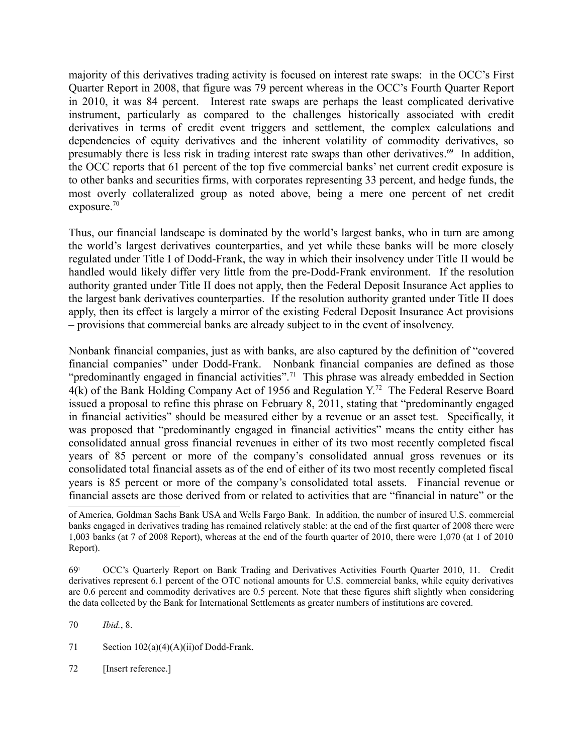majority of this derivatives trading activity is focused on interest rate swaps: in the OCC's First Quarter Report in 2008, that figure was 79 percent whereas in the OCC's Fourth Quarter Report in 2010, it was 84 percent. Interest rate swaps are perhaps the least complicated derivative instrument, particularly as compared to the challenges historically associated with credit derivatives in terms of credit event triggers and settlement, the complex calculations and dependencies of equity derivatives and the inherent volatility of commodity derivatives, so presumably there is less risk in trading interest rate swaps than other derivatives.<sup>69</sup> In addition, the OCC reports that 61 percent of the top five commercial banks' net current credit exposure is to other banks and securities firms, with corporates representing 33 percent, and hedge funds, the most overly collateralized group as noted above, being a mere one percent of net credit exposure. $70$ 

Thus, our financial landscape is dominated by the world's largest banks, who in turn are among the world's largest derivatives counterparties, and yet while these banks will be more closely regulated under Title I of Dodd-Frank, the way in which their insolvency under Title II would be handled would likely differ very little from the pre-Dodd-Frank environment. If the resolution authority granted under Title II does not apply, then the Federal Deposit Insurance Act applies to the largest bank derivatives counterparties. If the resolution authority granted under Title II does apply, then its effect is largely a mirror of the existing Federal Deposit Insurance Act provisions – provisions that commercial banks are already subject to in the event of insolvency.

Nonbank financial companies, just as with banks, are also captured by the definition of "covered financial companies" under Dodd-Frank. Nonbank financial companies are defined as those "predominantly engaged in financial activities".<sup>71</sup> This phrase was already embedded in Section 4(k) of the Bank Holding Company Act of 1956 and Regulation Y.72 The Federal Reserve Board issued a proposal to refine this phrase on February 8, 2011, stating that "predominantly engaged in financial activities" should be measured either by a revenue or an asset test. Specifically, it was proposed that "predominantly engaged in financial activities" means the entity either has consolidated annual gross financial revenues in either of its two most recently completed fiscal years of 85 percent or more of the company's consolidated annual gross revenues or its consolidated total financial assets as of the end of either of its two most recently completed fiscal years is 85 percent or more of the company's consolidated total assets. Financial revenue or financial assets are those derived from or related to activities that are "financial in nature" or the

70 *Ibid.*, 8.

71 Section  $102(a)(4)(A)(ii)$ of Dodd-Frank.

72 [Insert reference.]

of America, Goldman Sachs Bank USA and Wells Fargo Bank. In addition, the number of insured U.S. commercial banks engaged in derivatives trading has remained relatively stable: at the end of the first quarter of 2008 there were 1,003 banks (at 7 of 2008 Report), whereas at the end of the fourth quarter of 2010, there were 1,070 (at 1 of 2010 Report).

<sup>69</sup>! OCC's Quarterly Report on Bank Trading and Derivatives Activities Fourth Quarter 2010, 11. Credit derivatives represent 6.1 percent of the OTC notional amounts for U.S. commercial banks, while equity derivatives are 0.6 percent and commodity derivatives are 0.5 percent. Note that these figures shift slightly when considering the data collected by the Bank for International Settlements as greater numbers of institutions are covered.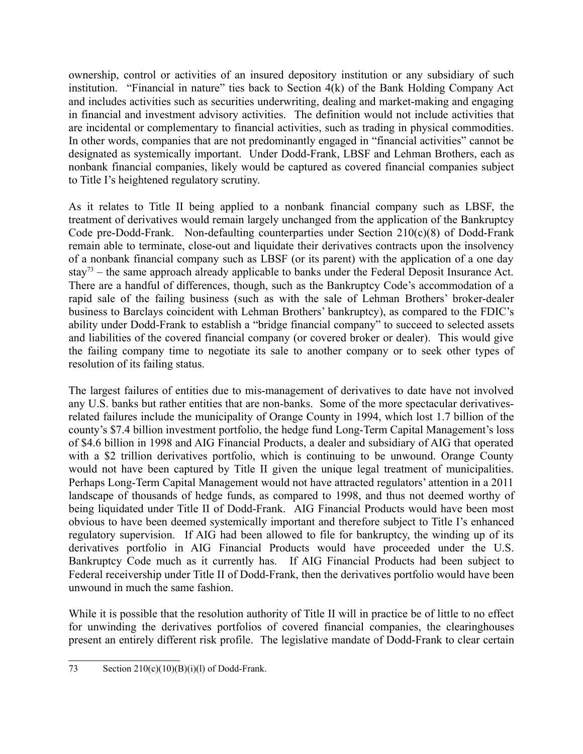ownership, control or activities of an insured depository institution or any subsidiary of such institution. "Financial in nature" ties back to Section 4(k) of the Bank Holding Company Act and includes activities such as securities underwriting, dealing and market-making and engaging in financial and investment advisory activities. The definition would not include activities that are incidental or complementary to financial activities, such as trading in physical commodities. In other words, companies that are not predominantly engaged in "financial activities" cannot be designated as systemically important. Under Dodd-Frank, LBSF and Lehman Brothers, each as nonbank financial companies, likely would be captured as covered financial companies subject to Title I's heightened regulatory scrutiny.

As it relates to Title II being applied to a nonbank financial company such as LBSF, the treatment of derivatives would remain largely unchanged from the application of the Bankruptcy Code pre-Dodd-Frank. Non-defaulting counterparties under Section 210(c)(8) of Dodd-Frank remain able to terminate, close-out and liquidate their derivatives contracts upon the insolvency of a nonbank financial company such as LBSF (or its parent) with the application of a one day stay<sup>73</sup> – the same approach already applicable to banks under the Federal Deposit Insurance Act. There are a handful of differences, though, such as the Bankruptcy Code's accommodation of a rapid sale of the failing business (such as with the sale of Lehman Brothers' broker-dealer business to Barclays coincident with Lehman Brothers' bankruptcy), as compared to the FDIC's ability under Dodd-Frank to establish a "bridge financial company" to succeed to selected assets and liabilities of the covered financial company (or covered broker or dealer). This would give the failing company time to negotiate its sale to another company or to seek other types of resolution of its failing status.

The largest failures of entities due to mis-management of derivatives to date have not involved any U.S. banks but rather entities that are non-banks. Some of the more spectacular derivativesrelated failures include the municipality of Orange County in 1994, which lost 1.7 billion of the county's \$7.4 billion investment portfolio, the hedge fund Long-Term Capital Management's loss of \$4.6 billion in 1998 and AIG Financial Products, a dealer and subsidiary of AIG that operated with a \$2 trillion derivatives portfolio, which is continuing to be unwound. Orange County would not have been captured by Title II given the unique legal treatment of municipalities. Perhaps Long-Term Capital Management would not have attracted regulators' attention in a 2011 landscape of thousands of hedge funds, as compared to 1998, and thus not deemed worthy of being liquidated under Title II of Dodd-Frank. AIG Financial Products would have been most obvious to have been deemed systemically important and therefore subject to Title I's enhanced regulatory supervision. If AIG had been allowed to file for bankruptcy, the winding up of its derivatives portfolio in AIG Financial Products would have proceeded under the U.S. Bankruptcy Code much as it currently has. If AIG Financial Products had been subject to Federal receivership under Title II of Dodd-Frank, then the derivatives portfolio would have been unwound in much the same fashion.

While it is possible that the resolution authority of Title II will in practice be of little to no effect for unwinding the derivatives portfolios of covered financial companies, the clearinghouses present an entirely different risk profile. The legislative mandate of Dodd-Frank to clear certain

<sup>73</sup> Section  $210(c)(10)(B)(i)(l)$  of Dodd-Frank.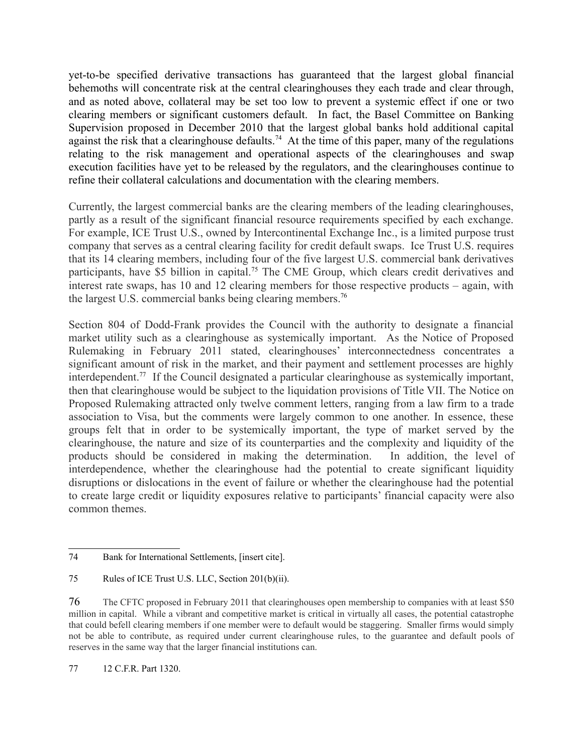yet-to-be specified derivative transactions has guaranteed that the largest global financial behemoths will concentrate risk at the central clearinghouses they each trade and clear through, and as noted above, collateral may be set too low to prevent a systemic effect if one or two clearing members or significant customers default. In fact, the Basel Committee on Banking Supervision proposed in December 2010 that the largest global banks hold additional capital against the risk that a clearinghouse defaults.<sup>74</sup> At the time of this paper, many of the regulations relating to the risk management and operational aspects of the clearinghouses and swap execution facilities have yet to be released by the regulators, and the clearinghouses continue to refine their collateral calculations and documentation with the clearing members.

Currently, the largest commercial banks are the clearing members of the leading clearinghouses, partly as a result of the significant financial resource requirements specified by each exchange. For example, ICE Trust U.S., owned by Intercontinental Exchange Inc., is a limited purpose trust company that serves as a central clearing facility for credit default swaps. Ice Trust U.S. requires that its 14 clearing members, including four of the five largest U.S. commercial bank derivatives participants, have \$5 billion in capital.<sup>75</sup> The CME Group, which clears credit derivatives and interest rate swaps, has 10 and 12 clearing members for those respective products – again, with the largest U.S. commercial banks being clearing members.<sup>76</sup>

Section 804 of Dodd-Frank provides the Council with the authority to designate a financial market utility such as a clearinghouse as systemically important. As the Notice of Proposed Rulemaking in February 2011 stated, clearinghouses' interconnectedness concentrates a significant amount of risk in the market, and their payment and settlement processes are highly interdependent.77 If the Council designated a particular clearinghouse as systemically important, then that clearinghouse would be subject to the liquidation provisions of Title VII. The Notice on Proposed Rulemaking attracted only twelve comment letters, ranging from a law firm to a trade association to Visa, but the comments were largely common to one another. In essence, these groups felt that in order to be systemically important, the type of market served by the clearinghouse, the nature and size of its counterparties and the complexity and liquidity of the products should be considered in making the determination. In addition, the level of interdependence, whether the clearinghouse had the potential to create significant liquidity disruptions or dislocations in the event of failure or whether the clearinghouse had the potential to create large credit or liquidity exposures relative to participants' financial capacity were also common themes.

77 12 C.F.R. Part 1320.

<sup>74</sup> Bank for International Settlements, [insert cite].

<sup>75</sup> Rules of ICE Trust U.S. LLC, Section 201(b)(ii).

<sup>76</sup> The CFTC proposed in February 2011 that clearinghouses open membership to companies with at least \$50 million in capital. While a vibrant and competitive market is critical in virtually all cases, the potential catastrophe that could befell clearing members if one member were to default would be staggering. Smaller firms would simply not be able to contribute, as required under current clearinghouse rules, to the guarantee and default pools of reserves in the same way that the larger financial institutions can.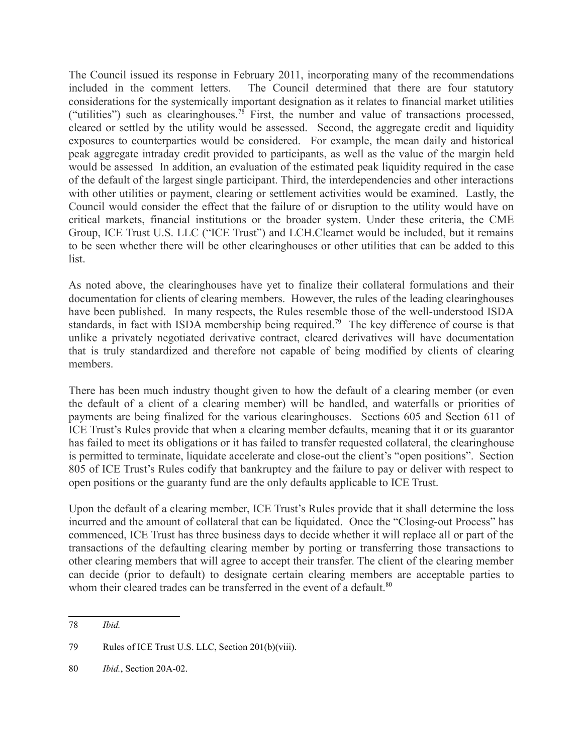The Council issued its response in February 2011, incorporating many of the recommendations included in the comment letters. The Council determined that there are four statutory considerations for the systemically important designation as it relates to financial market utilities ("utilities") such as clearinghouses.<sup>78</sup> First, the number and value of transactions processed, cleared or settled by the utility would be assessed. Second, the aggregate credit and liquidity exposures to counterparties would be considered. For example, the mean daily and historical peak aggregate intraday credit provided to participants, as well as the value of the margin held would be assessed In addition, an evaluation of the estimated peak liquidity required in the case of the default of the largest single participant. Third, the interdependencies and other interactions with other utilities or payment, clearing or settlement activities would be examined. Lastly, the Council would consider the effect that the failure of or disruption to the utility would have on critical markets, financial institutions or the broader system. Under these criteria, the CME Group, ICE Trust U.S. LLC ("ICE Trust") and LCH.Clearnet would be included, but it remains to be seen whether there will be other clearinghouses or other utilities that can be added to this list.

As noted above, the clearinghouses have yet to finalize their collateral formulations and their documentation for clients of clearing members. However, the rules of the leading clearinghouses have been published. In many respects, the Rules resemble those of the well-understood ISDA standards, in fact with ISDA membership being required.<sup>79</sup> The key difference of course is that unlike a privately negotiated derivative contract, cleared derivatives will have documentation that is truly standardized and therefore not capable of being modified by clients of clearing members.

There has been much industry thought given to how the default of a clearing member (or even the default of a client of a clearing member) will be handled, and waterfalls or priorities of payments are being finalized for the various clearinghouses. Sections 605 and Section 611 of ICE Trust's Rules provide that when a clearing member defaults, meaning that it or its guarantor has failed to meet its obligations or it has failed to transfer requested collateral, the clearinghouse is permitted to terminate, liquidate accelerate and close-out the client's "open positions". Section 805 of ICE Trust's Rules codify that bankruptcy and the failure to pay or deliver with respect to open positions or the guaranty fund are the only defaults applicable to ICE Trust.

Upon the default of a clearing member, ICE Trust's Rules provide that it shall determine the loss incurred and the amount of collateral that can be liquidated. Once the "Closing-out Process" has commenced, ICE Trust has three business days to decide whether it will replace all or part of the transactions of the defaulting clearing member by porting or transferring those transactions to other clearing members that will agree to accept their transfer. The client of the clearing member can decide (prior to default) to designate certain clearing members are acceptable parties to whom their cleared trades can be transferred in the event of a default.<sup>80</sup>

<sup>78</sup> *Ibid.*

<sup>79</sup> Rules of ICE Trust U.S. LLC, Section 201(b)(viii).

<sup>80</sup> *Ibid.*, Section 20A-02.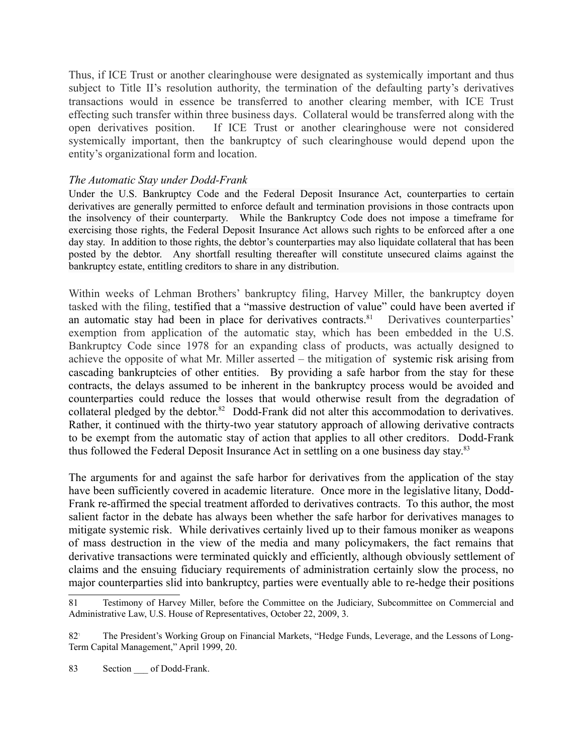Thus, if ICE Trust or another clearinghouse were designated as systemically important and thus subject to Title II's resolution authority, the termination of the defaulting party's derivatives transactions would in essence be transferred to another clearing member, with ICE Trust effecting such transfer within three business days. Collateral would be transferred along with the open derivatives position. If ICE Trust or another clearinghouse were not considered systemically important, then the bankruptcy of such clearinghouse would depend upon the entity's organizational form and location.

### *The Automatic Stay under Dodd-Frank*

Under the U.S. Bankruptcy Code and the Federal Deposit Insurance Act, counterparties to certain derivatives are generally permitted to enforce default and termination provisions in those contracts upon the insolvency of their counterparty. While the Bankruptcy Code does not impose a timeframe for exercising those rights, the Federal Deposit Insurance Act allows such rights to be enforced after a one day stay. In addition to those rights, the debtor's counterparties may also liquidate collateral that has been posted by the debtor. Any shortfall resulting thereafter will constitute unsecured claims against the bankruptcy estate, entitling creditors to share in any distribution.

Within weeks of Lehman Brothers' bankruptcy filing, Harvey Miller, the bankruptcy doyen tasked with the filing, testified that a "massive destruction of value" could have been averted if an automatic stay had been in place for derivatives contracts.<sup>81</sup> Derivatives counterparties' exemption from application of the automatic stay, which has been embedded in the U.S. Bankruptcy Code since 1978 for an expanding class of products, was actually designed to achieve the opposite of what Mr. Miller asserted – the mitigation of systemic risk arising from cascading bankruptcies of other entities. By providing a safe harbor from the stay for these contracts, the delays assumed to be inherent in the bankruptcy process would be avoided and counterparties could reduce the losses that would otherwise result from the degradation of collateral pledged by the debtor.<sup>82</sup> Dodd-Frank did not alter this accommodation to derivatives. Rather, it continued with the thirty-two year statutory approach of allowing derivative contracts to be exempt from the automatic stay of action that applies to all other creditors. Dodd-Frank thus followed the Federal Deposit Insurance Act in settling on a one business day stay.<sup>83</sup>

The arguments for and against the safe harbor for derivatives from the application of the stay have been sufficiently covered in academic literature. Once more in the legislative litany, Dodd-Frank re-affirmed the special treatment afforded to derivatives contracts. To this author, the most salient factor in the debate has always been whether the safe harbor for derivatives manages to mitigate systemic risk. While derivatives certainly lived up to their famous moniker as weapons of mass destruction in the view of the media and many policymakers, the fact remains that derivative transactions were terminated quickly and efficiently, although obviously settlement of claims and the ensuing fiduciary requirements of administration certainly slow the process, no major counterparties slid into bankruptcy, parties were eventually able to re-hedge their positions

<sup>81</sup> Testimony of Harvey Miller, before the Committee on the Judiciary, Subcommittee on Commercial and Administrative Law, U.S. House of Representatives, October 22, 2009, 3.

<sup>82</sup>! The President's Working Group on Financial Markets, "Hedge Funds, Leverage, and the Lessons of Long-Term Capital Management," April 1999, 20.

<sup>83</sup> Section of Dodd-Frank.